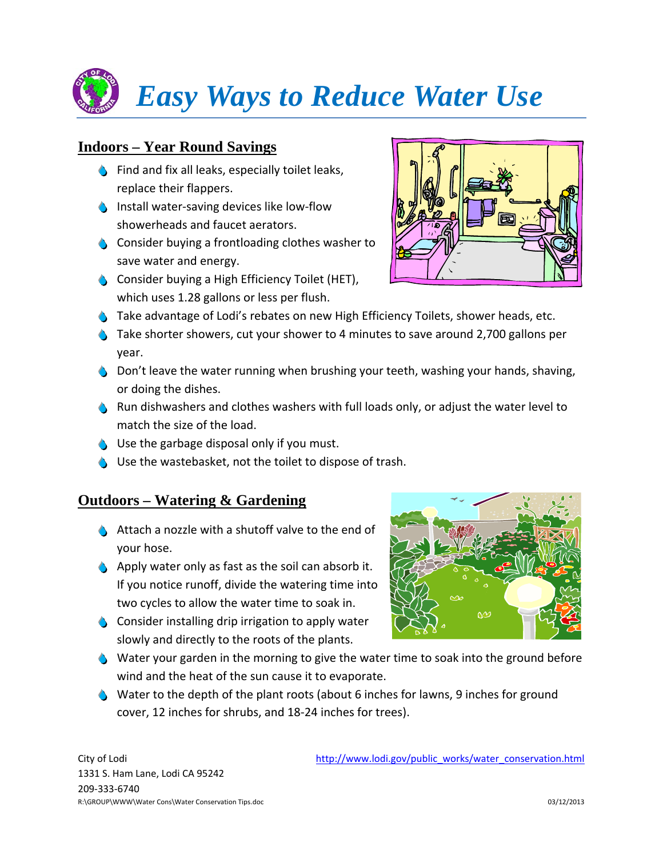## *Easy Ways to Reduce Water Use*

## **Indoors – Year Round Savings**

- $\bullet$  Find and fix all leaks, especially toilet leaks, replace their flappers.
- ◆ Install water-saving devices like low-flow showerheads and faucet aerators.
- $\bullet$  Consider buying a frontloading clothes washer to save water and energy.
- **6** Consider buying a High Efficiency Toilet (HET), which uses 1.28 gallons or less per flush.



- G Take advantage of Lodi's rebates on new High Efficiency Toilets, shower heads, etc.
- $\bullet$  Take shorter showers, cut your shower to 4 minutes to save around 2,700 gallons per year.
- $\bullet$  Don't leave the water running when brushing your teeth, washing your hands, shaving, or doing the dishes.
- **6** Run dishwashers and clothes washers with full loads only, or adjust the water level to match the size of the load.
- $\bigcirc$  Use the garbage disposal only if you must.
- $\bullet$  Use the wastebasket, not the toilet to dispose of trash.

## **Outdoors – Watering & Gardening**

- $\triangle$  Attach a nozzle with a shutoff valve to the end of your hose.
- $\bigcirc$  Apply water only as fast as the soil can absorb it. If you notice runoff, divide the watering time into two cycles to allow the water time to soak in.
- $\bullet$  Consider installing drip irrigation to apply water slowly and directly to the roots of the plants.
- 
- 666 Water your garden in the morning to give the water time to soak into the ground before wind and the heat of the sun cause it to evaporate.
- $\bullet$  Water to the depth of the plant roots (about 6 inches for lawns, 9 inches for ground cover, 12 inches for shrubs, and 18‐24 inches for trees).